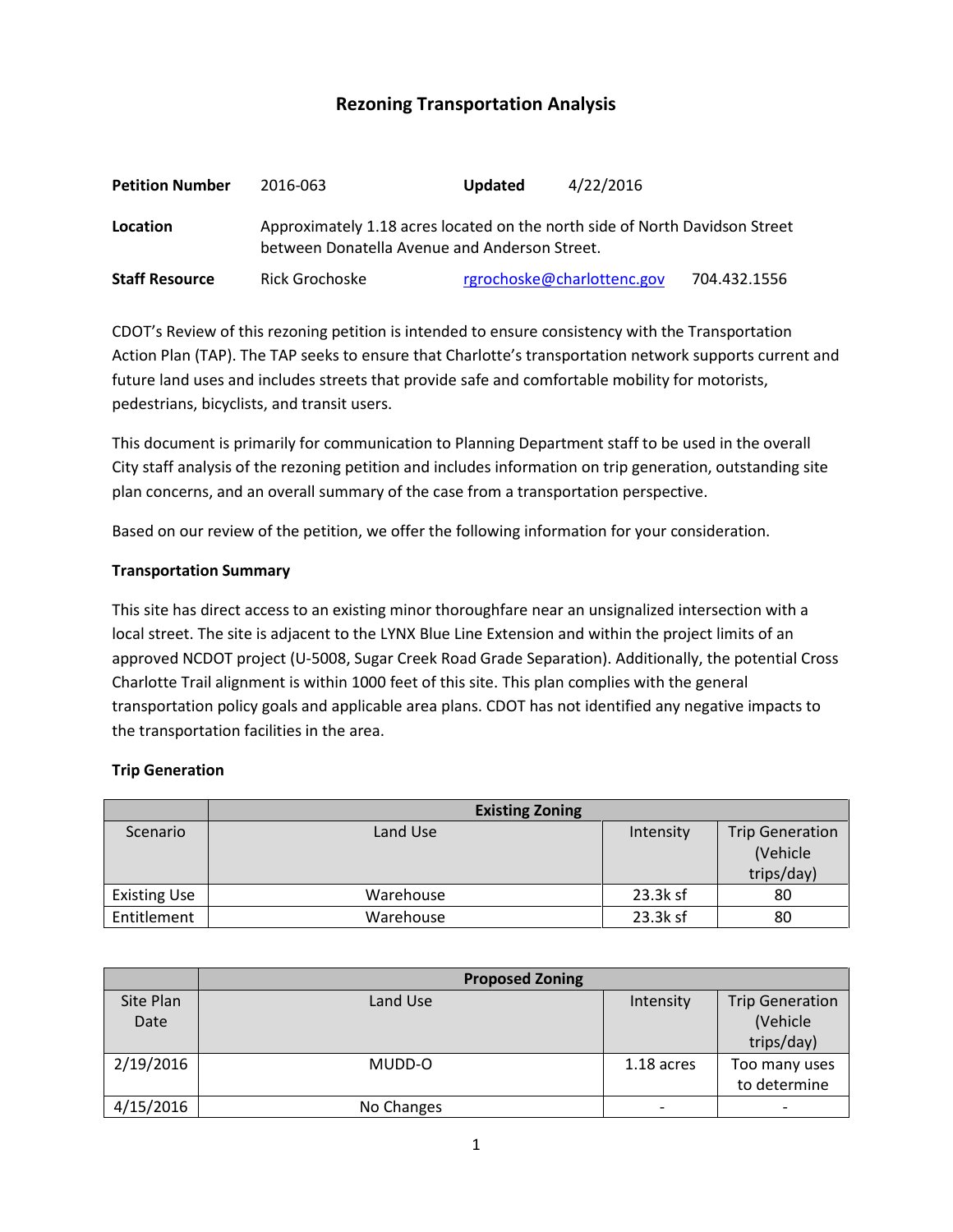# **Rezoning Transportation Analysis**

| <b>Petition Number</b> | 2016-063                                                                                                                     | <b>Updated</b>             | 4/22/2016 |              |  |
|------------------------|------------------------------------------------------------------------------------------------------------------------------|----------------------------|-----------|--------------|--|
| Location               | Approximately 1.18 acres located on the north side of North Davidson Street<br>between Donatella Avenue and Anderson Street. |                            |           |              |  |
| <b>Staff Resource</b>  | Rick Grochoske                                                                                                               | rgrochoske@charlottenc.gov |           | 704.432.1556 |  |

CDOT's Review of this rezoning petition is intended to ensure consistency with the Transportation Action Plan (TAP). The TAP seeks to ensure that Charlotte's transportation network supports current and future land uses and includes streets that provide safe and comfortable mobility for motorists, pedestrians, bicyclists, and transit users.

This document is primarily for communication to Planning Department staff to be used in the overall City staff analysis of the rezoning petition and includes information on trip generation, outstanding site plan concerns, and an overall summary of the case from a transportation perspective.

Based on our review of the petition, we offer the following information for your consideration.

#### **Transportation Summary**

This site has direct access to an existing minor thoroughfare near an unsignalized intersection with a local street. The site is adjacent to the LYNX Blue Line Extension and within the project limits of an approved NCDOT project (U-5008, Sugar Creek Road Grade Separation). Additionally, the potential Cross Charlotte Trail alignment is within 1000 feet of this site. This plan complies with the general transportation policy goals and applicable area plans. CDOT has not identified any negative impacts to the transportation facilities in the area.

#### **Trip Generation**

|                     | <b>Existing Zoning</b> |           |                                                  |
|---------------------|------------------------|-----------|--------------------------------------------------|
| Scenario            | Land Use               | Intensity | <b>Trip Generation</b><br>(Vehicle<br>trips/day) |
| <b>Existing Use</b> | Warehouse              | 23.3k sf  | 80                                               |
| Entitlement         | Warehouse              | 23.3k sf  | 80                                               |

|           | <b>Proposed Zoning</b> |            |                        |
|-----------|------------------------|------------|------------------------|
| Site Plan | Land Use               | Intensity  | <b>Trip Generation</b> |
| Date      |                        |            | (Vehicle               |
|           |                        |            | trips/day)             |
| 2/19/2016 | MUDD-O                 | 1.18 acres | Too many uses          |
|           |                        |            | to determine           |
| 4/15/2016 | No Changes             |            |                        |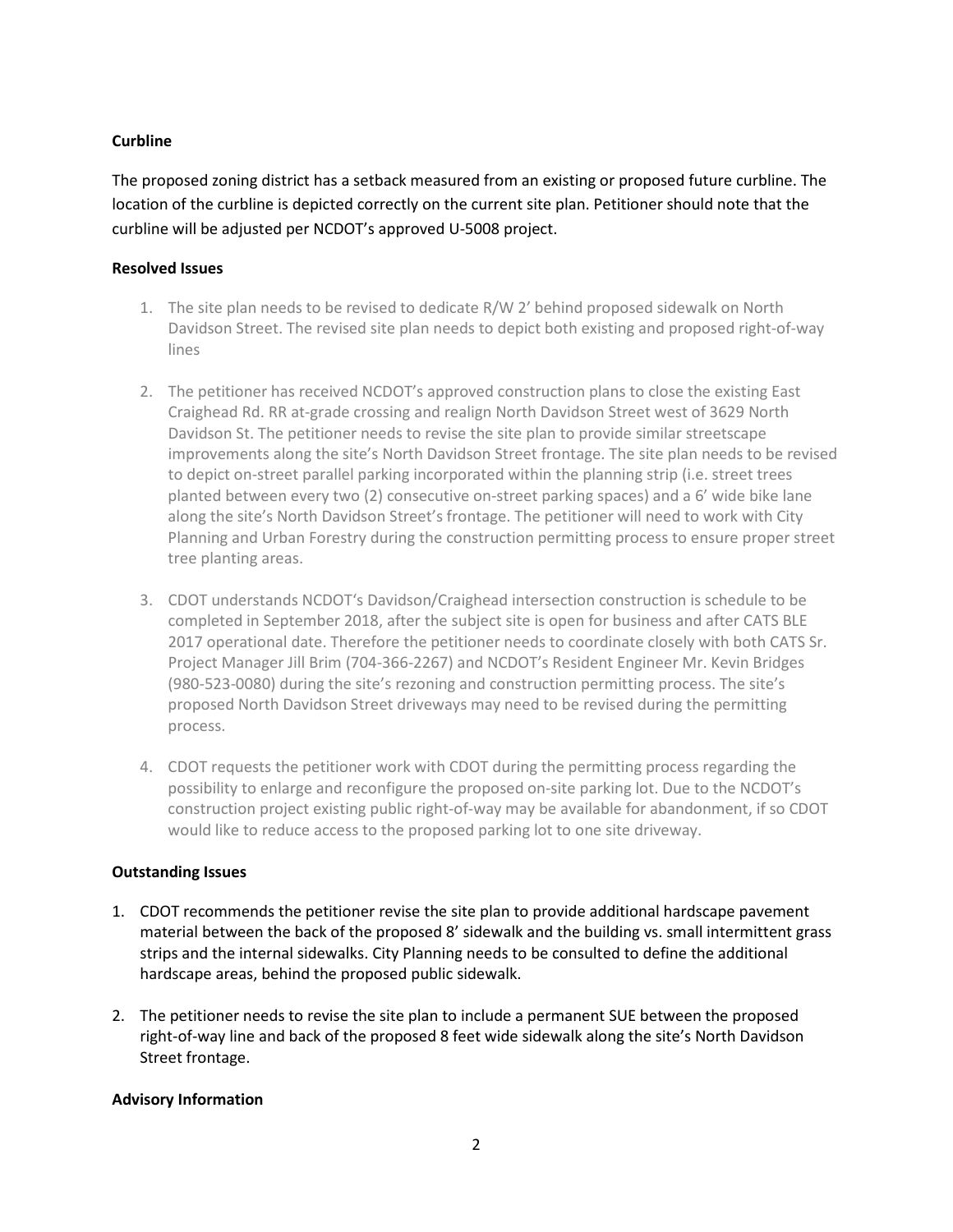## **Curbline**

The proposed zoning district has a setback measured from an existing or proposed future curbline. The location of the curbline is depicted correctly on the current site plan. Petitioner should note that the curbline will be adjusted per NCDOT's approved U-5008 project.

## **Resolved Issues**

- 1. The site plan needs to be revised to dedicate R/W 2' behind proposed sidewalk on North Davidson Street. The revised site plan needs to depict both existing and proposed right-of-way lines
- 2. The petitioner has received NCDOT's approved construction plans to close the existing East Craighead Rd. RR at-grade crossing and realign North Davidson Street west of 3629 North Davidson St. The petitioner needs to revise the site plan to provide similar streetscape improvements along the site's North Davidson Street frontage. The site plan needs to be revised to depict on-street parallel parking incorporated within the planning strip (i.e. street trees planted between every two (2) consecutive on-street parking spaces) and a 6' wide bike lane along the site's North Davidson Street's frontage. The petitioner will need to work with City Planning and Urban Forestry during the construction permitting process to ensure proper street tree planting areas.
- 3. CDOT understands NCDOT's Davidson/Craighead intersection construction is schedule to be completed in September 2018, after the subject site is open for business and after CATS BLE 2017 operational date. Therefore the petitioner needs to coordinate closely with both CATS Sr. Project Manager Jill Brim (704-366-2267) and NCDOT's Resident Engineer Mr. Kevin Bridges (980-523-0080) during the site's rezoning and construction permitting process. The site's proposed North Davidson Street driveways may need to be revised during the permitting process.
- 4. CDOT requests the petitioner work with CDOT during the permitting process regarding the possibility to enlarge and reconfigure the proposed on-site parking lot. Due to the NCDOT's construction project existing public right-of-way may be available for abandonment, if so CDOT would like to reduce access to the proposed parking lot to one site driveway.

# **Outstanding Issues**

- 1. CDOT recommends the petitioner revise the site plan to provide additional hardscape pavement material between the back of the proposed 8' sidewalk and the building vs. small intermittent grass strips and the internal sidewalks. City Planning needs to be consulted to define the additional hardscape areas, behind the proposed public sidewalk.
- 2. The petitioner needs to revise the site plan to include a permanent SUE between the proposed right-of-way line and back of the proposed 8 feet wide sidewalk along the site's North Davidson Street frontage.

# **Advisory Information**